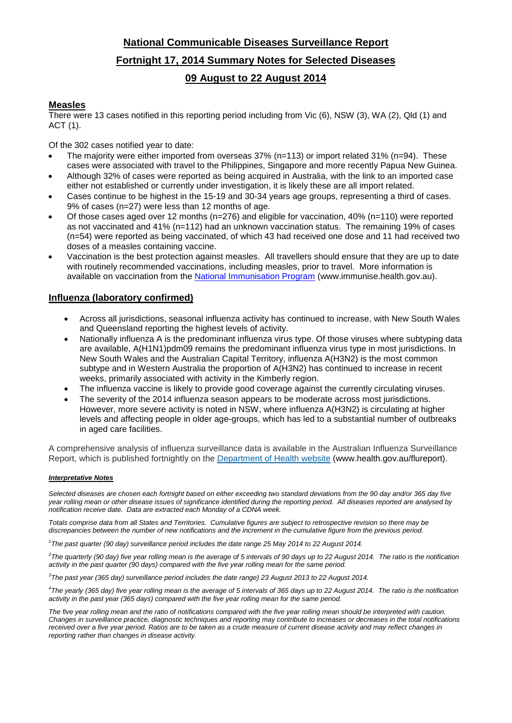# **National Communicable Diseases Surveillance Report Fortnight 17, 2014 Summary Notes for Selected Diseases 09 August to 22 August 2014**

## **Measles**

There were 13 cases notified in this reporting period including from Vic (6), NSW (3), WA (2), Qld (1) and ACT (1).

Of the 302 cases notified year to date:

- The majority were either imported from overseas 37% (n=113) or import related 31% (n=94). These cases were associated with travel to the Philippines, Singapore and more recently Papua New Guinea.
- Although 32% of cases were reported as being acquired in Australia, with the link to an imported case either not established or currently under investigation, it is likely these are all import related.
- Cases continue to be highest in the 15-19 and 30-34 years age groups, representing a third of cases. 9% of cases (n=27) were less than 12 months of age.
- Of those cases aged over 12 months (n=276) and eligible for vaccination, 40% (n=110) were reported as not vaccinated and 41% (n=112) had an unknown vaccination status. The remaining 19% of cases (n=54) were reported as being vaccinated, of which 43 had received one dose and 11 had received two doses of a measles containing vaccine.
- Vaccination is the best protection against measles. All travellers should ensure that they are up to date with routinely recommended vaccinations, including measles, prior to travel. More information is available on vaccination from the [National Immunisation Program](http://www.immunise.health.gov.au/) (www.immunise.health.gov.au).

## **Influenza (laboratory confirmed)**

- Across all jurisdictions, seasonal influenza activity has continued to increase, with New South Wales and Queensland reporting the highest levels of activity.
- Nationally influenza A is the predominant influenza virus type. Of those viruses where subtyping data are available, A(H1N1)pdm09 remains the predominant influenza virus type in most jurisdictions. In New South Wales and the Australian Capital Territory, influenza A(H3N2) is the most common subtype and in Western Australia the proportion of A(H3N2) has continued to increase in recent weeks, primarily associated with activity in the Kimberly region.
- The influenza vaccine is likely to provide good coverage against the currently circulating viruses.
- The severity of the 2014 influenza season appears to be moderate across most jurisdictions. However, more severe activity is noted in NSW, where influenza A(H3N2) is circulating at higher levels and affecting people in older age-groups, which has led to a substantial number of outbreaks in aged care facilities.

A comprehensive analysis of influenza surveillance data is available in the Australian Influenza Surveillance Report, which is published fortnightly on the [Department of Health website](http://www.health.gov.au/flureport) (www.health.gov.au/flureport).

### *Interpretative Notes*

*Selected diseases are chosen each fortnight based on either exceeding two standard deviations from the 90 day and/or 365 day five year rolling mean or other disease issues of significance identified during the reporting period. All diseases reported are analysed by notification receive date. Data are extracted each Monday of a CDNA week.*

*Totals comprise data from all States and Territories. Cumulative figures are subject to retrospective revision so there may be discrepancies between the number of new notifications and the increment in the cumulative figure from the previous period.*

*1 The past quarter (90 day) surveillance period includes the date range 25 May 2014 to 22 August 2014.* 

*2 The quarterly (90 day) five year rolling mean is the average of 5 intervals of 90 days up to 22 August 2014. The ratio is the notification activity in the past quarter (90 days) compared with the five year rolling mean for the same period.*

*3 The past year (365 day) surveillance period includes the date range) 23 August 2013 to 22 August 2014.* 

*4 The yearly (365 day) five year rolling mean is the average of 5 intervals of 365 days up to 22 August 2014. The ratio is the notification activity in the past year (365 days) compared with the five year rolling mean for the same period.*

The five year rolling mean and the ratio of notifications compared with the five year rolling mean should be interpreted with caution. *Changes in surveillance practice, diagnostic techniques and reporting may contribute to increases or decreases in the total notifications received over a five year period. Ratios are to be taken as a crude measure of current disease activity and may reflect changes in reporting rather than changes in disease activity.*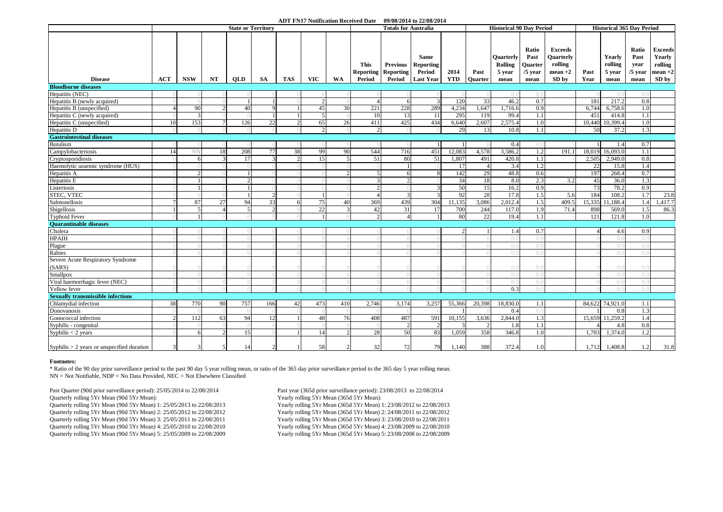#### **ADT FN17 Notification Received Date 09/08/2014 to 22/08/2014**

|                                              | <b>State or Territory</b> |                          |    |            |           |     |            |     | <b>Totals for Australia</b>     | <b>Historical 90 Day Period</b>     |                                           |            |                |                                       | <b>Historical 365 Day Period</b>      |                                                     |        |                             |                                    |                                                         |
|----------------------------------------------|---------------------------|--------------------------|----|------------|-----------|-----|------------|-----|---------------------------------|-------------------------------------|-------------------------------------------|------------|----------------|---------------------------------------|---------------------------------------|-----------------------------------------------------|--------|-----------------------------|------------------------------------|---------------------------------------------------------|
|                                              |                           |                          |    |            |           |     |            |     | <b>This</b><br><b>Reporting</b> | <b>Previous</b><br><b>Reporting</b> | <b>Same</b><br><b>Reporting</b><br>Period | 2014       | Past           | Quarterly<br><b>Rolling</b><br>5 year | Ratio<br>Past<br>Quarter<br>$/5$ year | <b>Exceeds</b><br>Ouarterly<br>rolling<br>$mean +2$ | Past   | Yearly<br>rolling<br>5 year | Ratio<br>Past<br>year<br>$/5$ year | <b>Exceeds</b><br><b>Yearly</b><br>rolling<br>$mean +2$ |
| <b>Disease</b>                               | ACT                       | <b>NSW</b>               | NT | <b>OLD</b> | <b>SA</b> | TAS | <b>VIC</b> | WA  | Period                          | Period                              | <b>Last Year</b>                          | <b>YTD</b> | <b>Ouarter</b> | mean                                  | mean                                  | SD by                                               | Year   | mean                        | mean                               | SD by                                                   |
| <b>Bloodborne diseases</b>                   |                           |                          |    |            |           |     |            |     |                                 |                                     |                                           |            |                |                                       |                                       |                                                     |        |                             |                                    |                                                         |
| Hepatitis (NEC)                              |                           |                          |    |            |           |     |            |     |                                 |                                     | $\overline{3}$                            | 120        | 33             | ( ) . ( )<br>46.2                     | $( )_{0}$                             |                                                     | 181    | ()<br>217.2                 | ()()<br>0.8                        |                                                         |
| Hepatitis B (newly acquired)                 |                           |                          |    |            |           |     |            |     |                                 |                                     |                                           |            |                |                                       | 0.7                                   |                                                     |        |                             |                                    |                                                         |
| Hepatitis B (unspecified)                    |                           | 90                       |    | 40         |           |     | 45         | 30  | 221                             | 228                                 | 289                                       | 4,234      | 1,647          | .716.6                                | 0.9                                   |                                                     | 6,744  | 6,758.6                     | 1.0                                |                                                         |
| Hepatitis C (newly acquired)                 |                           |                          |    |            |           |     |            |     | 10                              | 13                                  | 11                                        | 295        | 119            | 99.4                                  | 1.1                                   |                                                     | 451    | 414.8                       | 1.1                                |                                                         |
| Hepatitis C (unspecified)                    | 10                        | 153                      |    | 126        | 22        |     | 65         | 26  | 411                             | 425                                 | 434                                       | 6,640      | 2,607          | 2,575.4                               | 1.0                                   |                                                     | 10,440 | 10,399.4                    | 1.0                                |                                                         |
| Hepatitis <sub>D</sub>                       |                           |                          |    |            |           |     |            |     |                                 |                                     |                                           | 29         | 13             | 10.8                                  | 1.1                                   |                                                     | 50     | 37.2                        | 1.3                                |                                                         |
| <b>Gastrointestinal diseases</b>             |                           |                          |    |            |           |     |            |     |                                 |                                     |                                           |            |                |                                       |                                       |                                                     |        |                             |                                    |                                                         |
| Botulism                                     |                           |                          |    |            |           |     |            |     |                                 |                                     | $\overline{1}$                            |            |                | 0.4                                   | 0.(                                   |                                                     |        | 1.4                         | 0.7                                |                                                         |
| Campylobacteriosis                           | 14                        | NΝ                       | 18 | 208        | 77        | 38  | 99         | 90  | 544                             | 716                                 | 451                                       | 12,083     | 4,578          | 3,586.2                               | 1.2                                   | 191.1                                               | 18,019 | 16,093.0                    | 1.1                                |                                                         |
| Cryptosporidiosis                            |                           |                          |    | 17         |           |     | 15         |     | 51                              | 80                                  | 51                                        | 1,807      | 491            | 420.8                                 | 1.1                                   |                                                     | 2,505  | 2,949.0                     | 0.8                                |                                                         |
| Haemolytic uraemic syndrome (HUS)            |                           |                          |    |            |           |     |            |     |                                 |                                     |                                           | 17         | $\Delta$       | 3.4                                   | 1.2                                   |                                                     | 22     | 15.8                        | 1.4                                |                                                         |
| Hepatitis A                                  |                           |                          |    |            |           |     |            |     |                                 |                                     | 8                                         | 142        | 29             | 48.8                                  | 0.6                                   |                                                     | 197    | 268.4                       | 0.7                                |                                                         |
| Hepatitis E                                  |                           |                          |    |            |           |     |            |     |                                 |                                     |                                           | 34         | 18             | 8.0                                   | 2.3                                   | 3.2                                                 | 45     | 36.0                        | 1.3                                |                                                         |
| Listeriosis                                  |                           |                          |    |            |           |     |            |     |                                 |                                     | 3                                         | 50         | 15             | 16.2                                  | 0.9                                   |                                                     | 73     | 78.2                        | 0.9                                |                                                         |
| STEC, VTEC                                   |                           |                          |    |            |           |     |            |     |                                 |                                     | $\overline{3}$                            | 92         | 28             | 17.8                                  | 1.5                                   | 5.6                                                 | 184    | 108.2                       | 1.7                                | 23.8                                                    |
| Salmonellosis                                |                           | 87                       | 27 | 94         | 33        |     | 75         | 40  | 369                             | 439                                 | 304                                       | 11,135     | 3,086          | 2,012.4                               | 1.5                                   | 409.5                                               | 15,335 | 1,188.4                     | 1.4                                | 1,417.                                                  |
| Shigellosis                                  |                           | $\overline{\phantom{0}}$ |    |            |           |     | 22         |     | 42                              | 31                                  | 17                                        | 700        | 244            | 117.0                                 | 1.9                                   | 71.4                                                | 898    | 569.0                       | 1.5                                | 86.3                                                    |
| <b>Typhoid Fever</b>                         |                           | 1                        |    |            |           |     |            |     |                                 |                                     | $\mathbf{1}$                              | 80         | 22             | 19.4                                  | 1.1                                   |                                                     | 121    | 121.8                       | 1.0                                |                                                         |
| <b>Ouarantinable diseases</b>                |                           |                          |    |            |           |     |            |     |                                 |                                     |                                           |            |                |                                       |                                       |                                                     |        |                             |                                    |                                                         |
| Cholera                                      |                           |                          |    |            |           |     |            |     |                                 |                                     |                                           |            |                | 1.4                                   | 0.7                                   |                                                     |        | 4.6                         | 0.9                                |                                                         |
| <b>HPAIH</b>                                 |                           |                          |    |            |           |     |            |     |                                 |                                     |                                           |            |                | ( ) . ( )                             | ( ) . ( )                             |                                                     |        | (                           | $( )_{.} ( )$                      |                                                         |
| Plague                                       |                           |                          |    |            |           |     |            |     |                                 |                                     |                                           |            |                | ()()                                  | $\bigcap$                             |                                                     |        | ()                          | ()()                               |                                                         |
| Rabies                                       |                           |                          |    |            |           |     |            |     |                                 |                                     |                                           |            |                | $( )_{.} ( )$                         | $( )_{0}$                             |                                                     |        | ( ) 1                       | $\Omega$                           |                                                         |
| Severe Acute Respiratory Syndrome            |                           |                          |    |            |           |     |            |     |                                 |                                     |                                           |            |                |                                       |                                       |                                                     |        |                             |                                    |                                                         |
| (SARS)                                       |                           |                          |    |            |           |     |            |     |                                 |                                     |                                           |            |                | ()()                                  | $( )_{.} ( )$                         |                                                     |        | ()                          | ()()                               |                                                         |
| Smallpox                                     |                           |                          |    |            |           |     |            |     |                                 |                                     |                                           |            |                | $( )_{.} ( )$                         | ( ) . ( )                             |                                                     |        | (                           | ()()                               |                                                         |
| Viral haemorrhagic fever (NEC)               |                           |                          |    |            |           |     |            |     |                                 |                                     |                                           |            |                | $\bigcap$                             | $( )_{0}$                             |                                                     |        | ( ) . ( )                   | ()()                               |                                                         |
| Yellow fever                                 |                           |                          |    |            |           |     |            |     |                                 |                                     |                                           |            |                | 0.3                                   | $()$ .                                |                                                     |        | ()                          | ()()                               |                                                         |
| <b>Sexually transmissible infections</b>     |                           |                          |    |            |           |     |            |     |                                 |                                     |                                           |            |                |                                       |                                       |                                                     |        |                             |                                    |                                                         |
| Chlamydial infection                         | 38                        | 770                      | 90 | 757        | 166       | 42  | 473        | 410 | 2,746                           | 3,174                               | 3,257                                     | 55,366     | 20,398         | 18,830.0                              | 1.1                                   |                                                     | 84,622 | 74,921.0                    | 1.1                                |                                                         |
| Donovanosis                                  |                           |                          |    |            |           |     |            |     |                                 |                                     |                                           |            |                | 0.4                                   | ( ) . ( )                             |                                                     |        | 0.8                         | 1.3                                |                                                         |
| Gonococcal infection                         |                           | 112                      | 63 | 94         | 12        |     | 48         | 76  | 408                             | 487                                 | 591                                       | 10,155     | 3,636          | 2,844.0                               | 1.3                                   |                                                     |        | 15,659 11,259.2             | 1.4                                |                                                         |
| Syphilis - congenital                        |                           |                          |    |            |           |     |            |     |                                 |                                     | $\mathcal{D}$                             |            |                | 1.8                                   | 1.1                                   |                                                     |        | 4.8                         | 0.8                                |                                                         |
| Syphilis $<$ 2 years                         |                           | 6                        |    | 15         |           |     | 14         |     | 28                              | 50                                  | 83                                        | 1,059      | 358            | 346.8                                 | 1.0                                   |                                                     | 1.703  | 1,374.0                     | 1.2                                |                                                         |
| Syphilis $> 2$ years or unspecified duration |                           |                          |    | -14        |           |     | 58         |     | 32                              | 72                                  | 79                                        | 1,140      | 388            | 372.4                                 | 1.0                                   |                                                     | 1.712  | 1,408.8                     | 1.2                                | 31.8                                                    |

#### **Footnotes:**

\* Ratio of the 90 day prior surveillance period to the past 90 day 5 year rolling mean, or ratio of the 365 day prior surveillance period to the 365 day 5 year rolling mean.  $NN = Not Not of Table, NDP = No Data Provided. NEC = Not Elsewhere Classified$ 

Past Quarter (90d prior surveillance period): 25/05/2014 to 22/08/2014 Past year (365d prior surveillance period): 23/08/2013 to 22/08/2014<br>Quarterly rolling 5Yr Mean (90d 5Yr Mean):<br>Yearly rolling 5Yr Mean (365d 5Yr Mean) Quarterly rolling 5Yr Mean (90d 5Yr Mean):<br>Quarterly rolling 5Yr Mean (90d 5Yr Mean) 1: 25/05/2013 to 22/08/2013<br>Yearly rolling 5Yr Mean (365d 5Yr Mean) 1: 23/08/2013 Quarterly rolling 5Yr Mean (90d 5Yr Mean) 1: 25/05/2013 to 22/08/2013 Yearly rolling 5Yr Mean (365d 5Yr Mean) 1: 23/08/2012 to 22/08/2013 Quarterly rolling 5Yr Mean (90d 5Yr Mean) 2: 25/05/2012 to 22/08/2012 Quarterly rolling 5Yr Mean (90d 5Yr Mean) 3: 25/05/2011 to 22/08/2011 Yearly rolling 5Yr Mean (365d 5Yr Mean) 3: 23/08/2010 to 22/08/2011 Quarterly rolling 5Yr Mean (90d 5Yr Mean) 4: 25/05/2010 to 22/08/2010 Yearly rolling 5Yr Mean (365d 5Yr Mean) 4: 23/08/2009 to 22/08/2010 Quarterly rolling 5Yr Mean (90d 5Yr Mean) 5: 25/05/2009 to 22/08/2009